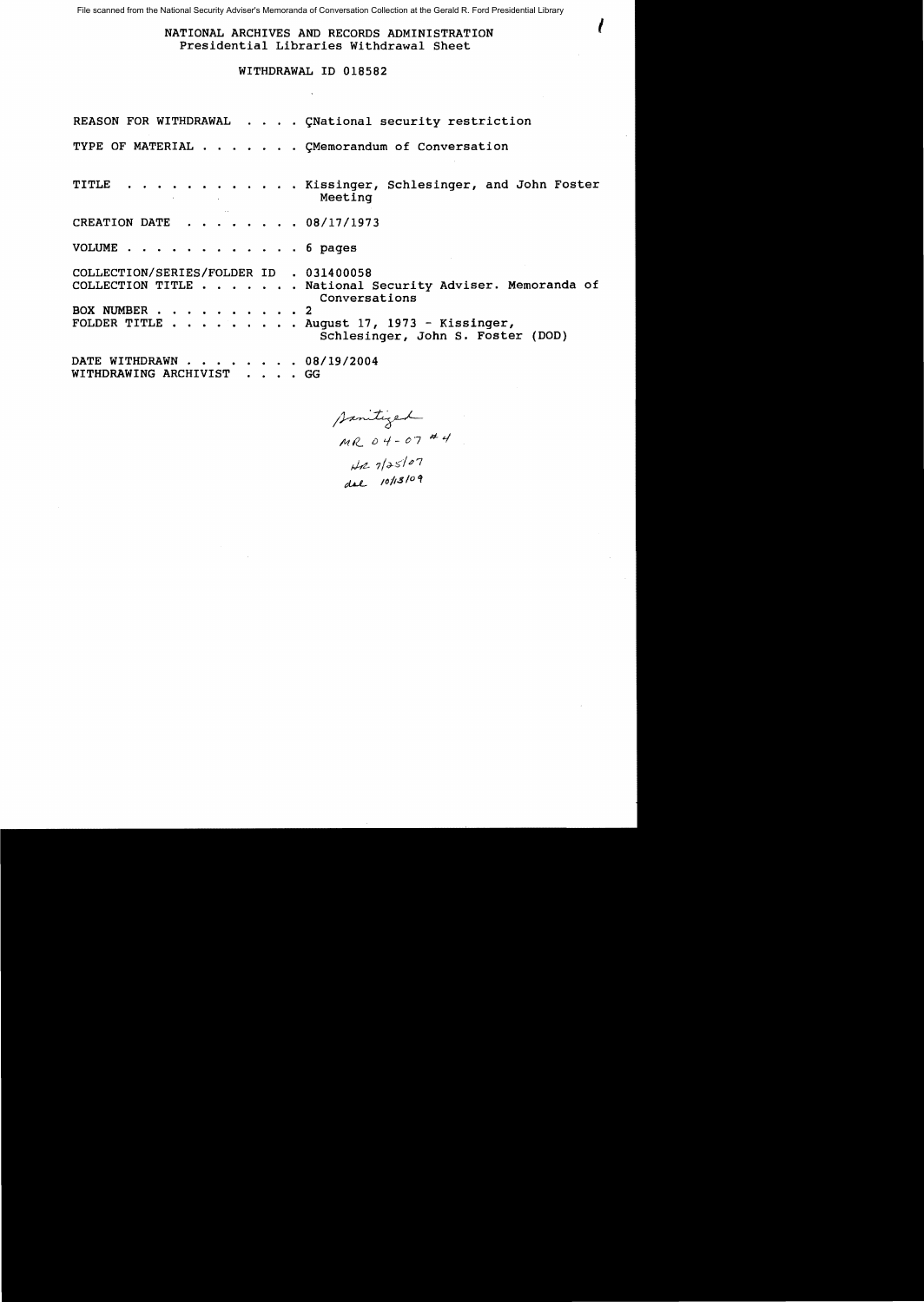File scanned from the National Security Adviser's Memoranda of Conversation Collection at the Gerald R. Ford Presidential Library

NATIONAL ARCHIVES AND RECORDS ADMINISTRATION Presidential Libraries Withdrawal Sheet

 $\mathcal{I} = \mathcal{I}$ 

# WITHDRAWAL ID 018582

REASON FOR WITHDRAWAL . . . . CNational security restriction TYPE OF MATERIAL . . . . . . CMemorandum of Conversation TITLE . . . . . . . . . . . . Kissinger, Schlesinger, and John Foster Meeting CREATION DATE  $\cdot \cdot \cdot \cdot \cdot \cdot 08/17/1973$ VOLUME . . . . . . . . . . . . 6 pages COLLECTION/SERIES/FOLDER ID . 031400058 COLLECTION TITLE . . . . . . National Security Adviser. Memoranda of Conversations BOX NUMBER . . . . . . . . . . 2<br>FOLDER TITLE . . . . . . . . . A  $\ldots$  . August 17, 1973 - Kissinger, Schlesinger, John S. Foster (DOD) DATE WITHDRAWN . . . . . . . 08/19/2004 WITHDRAWING ARCHIVIST . . . . GG

Sanitized *1'41(.0'1 07* #.q  $H27/25/27$ 

dal 10/13/09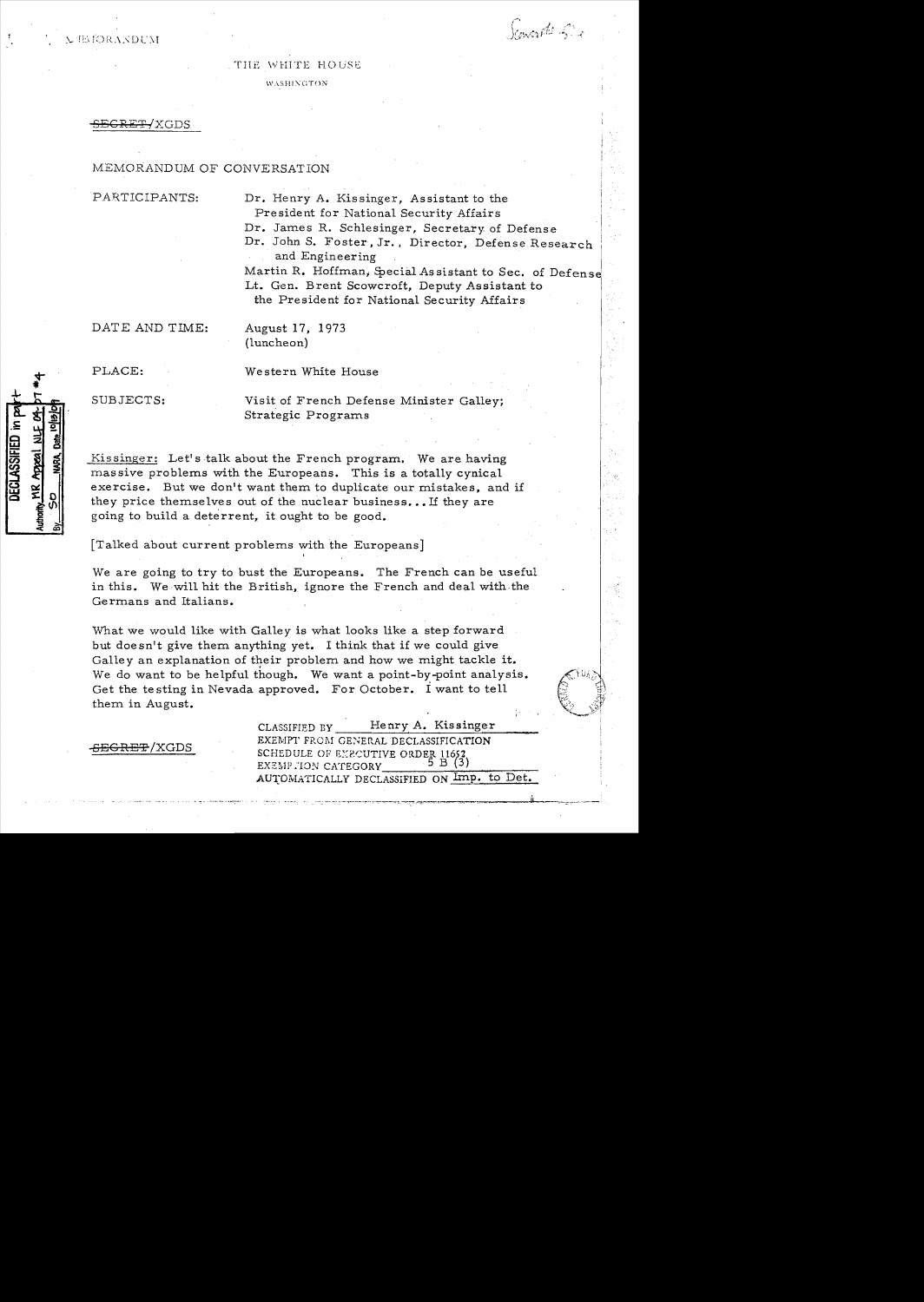**EIMORANDUM** 

.1 .~.  $J$  and  $\tilde{r}^{\prime\prime\prime}$  if

## THE WHITE HOUSE

W,\SHI:\GTON

SCRET/XGDS

# MEMORANDUM OF CONVERSATION

PARTICIPANTS: Dr. Henry A. Kissinger, Assistant to the President for National Security Affairs Dr. James R. Schlesinger, Secretary of Defens e Dr. John S. Foster, Jr.. Director, Defense Research and Engineering Martin R. Hoffman, Special Assistant to Sec. of Defense Lt. Gen. Brent Scowcroft, Deputy Assistant to the President for National Security Affairs

DATE AND TIME: August 17, 1973

(luncheon)

DECLASSIFIED in

Authority MR Appeal NLF

PLACE: Western White House

SUBJECTS: Visit of French Defense Minister Galley; Strategic Programs

Kissinger: Let's talk about the French program. We are having mas sive problems with the Europeans. This is a totally cynical exercise. But we don't want them to duplicate our mistakes, and if they price themselves out of the nuclear business... If they are going to build a deterrent, it ought to be good.

[Talked about current problems with the Europeans] ,

We are going to try to bust the Europeans. The French can be useful in this. We will hit the British, ignore the French and deal with the Germans and Italians.

What we would like with Galley is what looks like a step forward but doesn't give them anything yet. I think that if we could give Galley an explanation of their problem and how we might tackle it. We do want to be helpful though. We want a point-by-point analysis. Get the testing in Nevada approved. For October. i want to tell them in August.

CLASSIFIED BY Henry A. Kissinger EXEMPT FROM GENERAL DECLASSIFICATION -SEGRET /XGDS - SCHEDULE OF EXECUTIVE ORDER 11652 EXEMP . TON CATEGORY AUTOMATICALLY DECLASSIFIED ON Imp. to Det.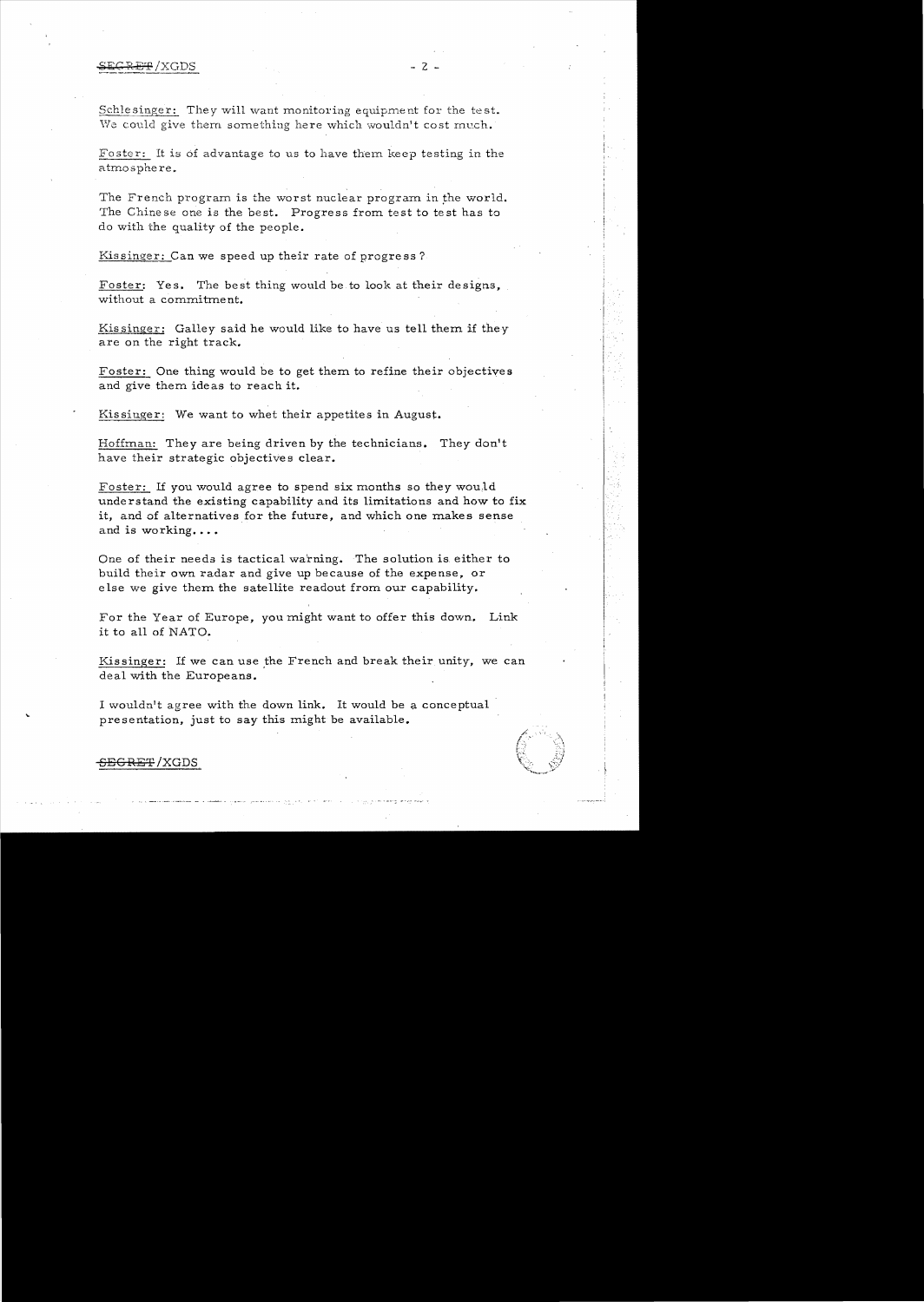#### $\text{eff}$  /XGDS  $\text{--}$  2 -

We could give them something here which wouldn't cost much. Schlesinger: They will want monitoring equipment for the test.

Foster: It is of advantage to us to have them keep testing in the atmosphere.

The French program is the worst nuclear program in the world. The Chinese one is the best. Progress from test to test has to do with the quality of the people.

Kissinger: Can we speed up their rate of progress?

without a commitment. Foster: Yes. The best thing would be to look at their designs.

Kissinger: Galley said he would like to have us tell them if they are on the right track.

Foster: One thing would be to get them to refine their objectives and give them ideas to reach it.

Kissinger: We want to whet their appetites in August.

Hoffman: They are being driven by the technicians. They don't *have* their strategic objectives clear.

Foster: If you would agree to spend six months so they wou,ld understand the existing capability and its limitations and how to fix it, and of alternatives for the future, and which one makes sense and is working....

One of their needs is tactical warning. The solution is. either to build their own radar and *give* up because of the expense, or else we give them the satellite readout from our capability.

For the Year of Europe, you might want to offer this down. Link it to all of NATO.

Kissinger: If we can use the French and break their unity, we can deal with the Europeans.

<sup>I</sup>wouldn't agree with the down link. It would be a conceptual presentation, just to say this might be available.



# <del>SEGRET</del>/XGDS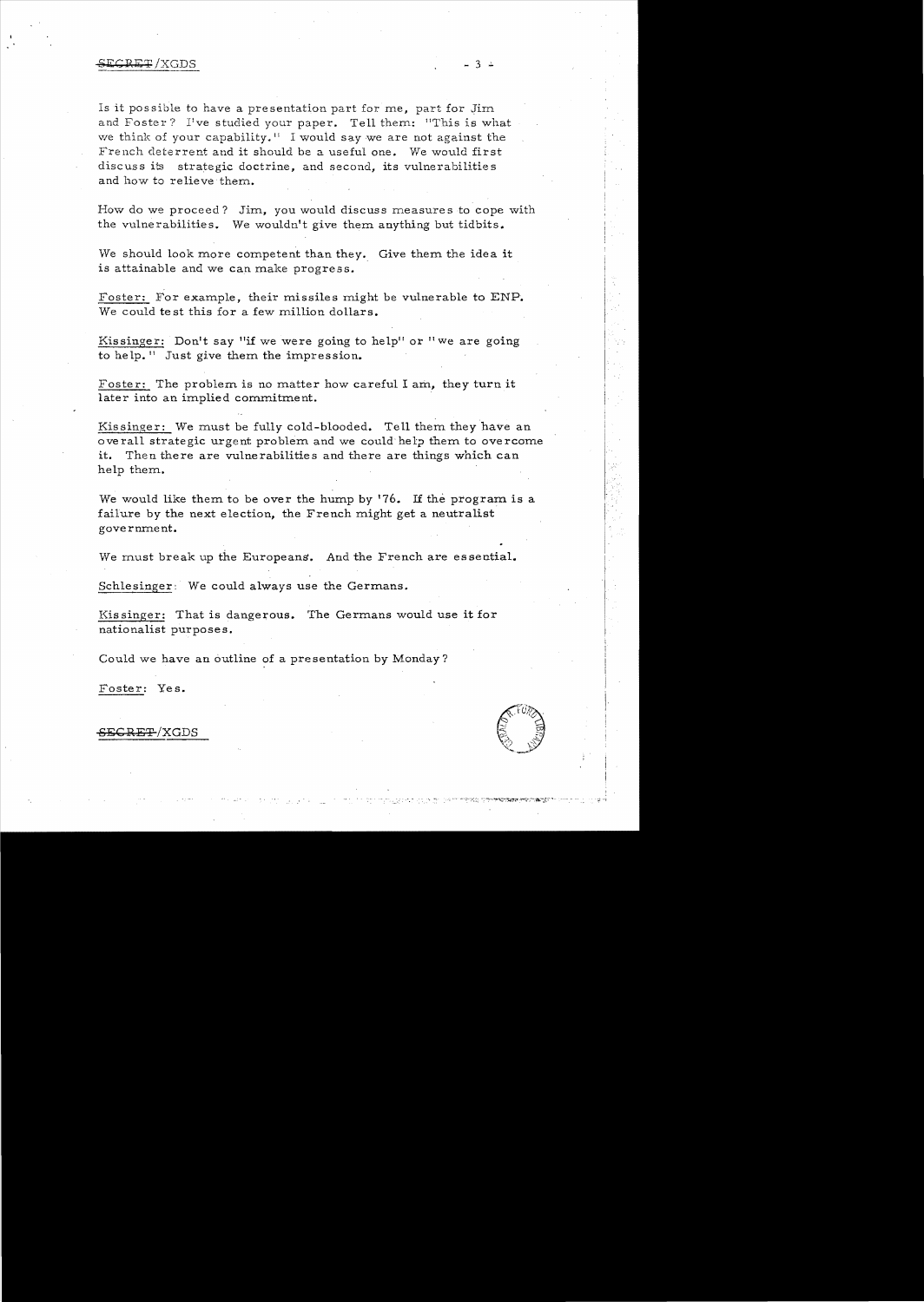### **SECRET/XGDS**

Is it possible to have a presentation part for me, part for Jim and Foster? I've studied your paper. Tell them: "This is what we think of your capability.<sup> $\text{II}$ </sup> I would say we are not against the French deterrent and it should be a useful one. We would first discuss its strategic doctrine, and second, its vulnerabilities and how to relieve them.

How do we proceed? Jim, you would discuss measures to cope with the vulnerabilities. We wouldn't give them anything but tidbits.

We should look more competent than they. Give them the idea it is attainable and we can make progress.

Foster: For example, their missiles might be vulnerable to ENP. We could test this for a few million dollars.

Kissinger: Don't say "if we were going to help" or "we are going to help.<sup>11</sup> Just give them the impression.

Foster: The problem is no matter how careful I am, they turn it later into an implied commitment. .

Kissinger: We must be fully cold-blooded. Tell them they have an overall strategic urgent problem and we could help them to overcome it. Then there are vulnerabilities and there are things which can help them.

We would like them to be over the hump by  $'76$ . If the program is a failure by the next election, the French might get a neutralist government.

We must break up the Europeans. And the French are essential.

Schlesinger: We could always use the Germans.

Kis singer: That is dangerous. The Germans would use it for nationalist purposes.

Could we have an outline of a presentation by Monday?

Foster: Yes.



<del>CRET</del>/XGDS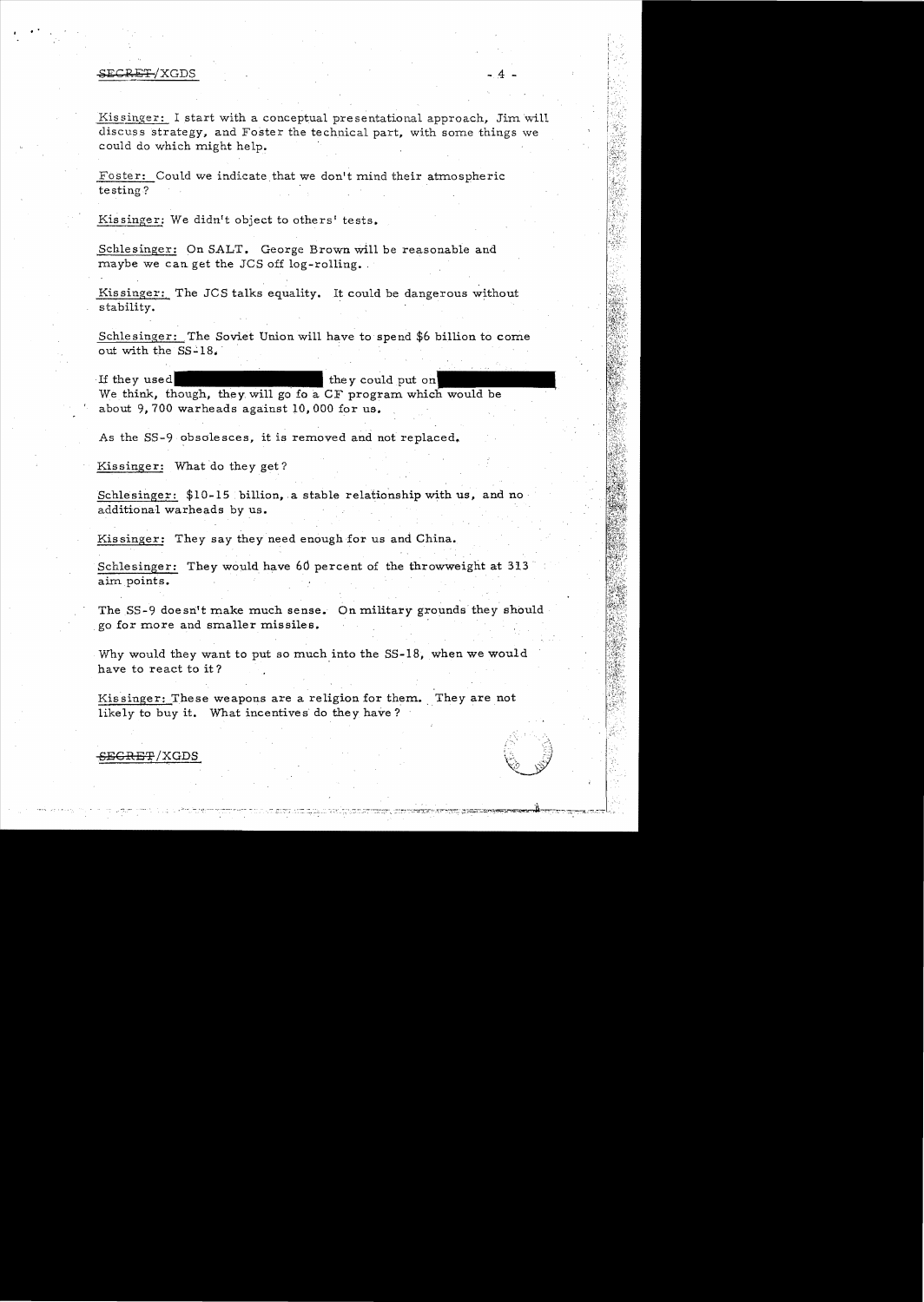#### gEGRET/XGDS -.4 -

..

Kissinger: I start with a conceptual presentational approach, Jim will discuss strategy, and *FosteT* the technical *paTt,* with some things we could do which might help.

Foster: Could we indicate that we don't mind their atmospheric testing?

Kissinger: We didn't object to others' tests.

Schlesinger: On SALT. George Brown will be reasonable and maybe we can get the JCS off log-rolling.

Kissinger: The JCS talks equality. It could be dangerous without stability.

Schlesinger: The Soviet Union will have to spend \$6 billion to come out with the SS-18.

If they used they could put on We think, though, they will go fo a CF program which would be about 9, 700 warheads against 10,000 for us.

As the SS-9 obsolesces, it is removed and not replaced.

Kissinger: What do they get?

Schlesinger:  $$10-15$  billion, a stable relationship with us, and no additional warheads by us.

Kissinger: They say they need enough for us and China.

Schlesinger: They would have 6d percent of the throwweight at 313 aim points.

The 5S-9 doesn't make much sense. On military grounds they should go for more and smaller missiles.

Why would they want to put so much into the SS-18, when we would have to react to it?

Kissinger: These weapons are a religion for them. They are not likely to buy it. What incentives do they have?

# S<del>ECRET</del>/XGDS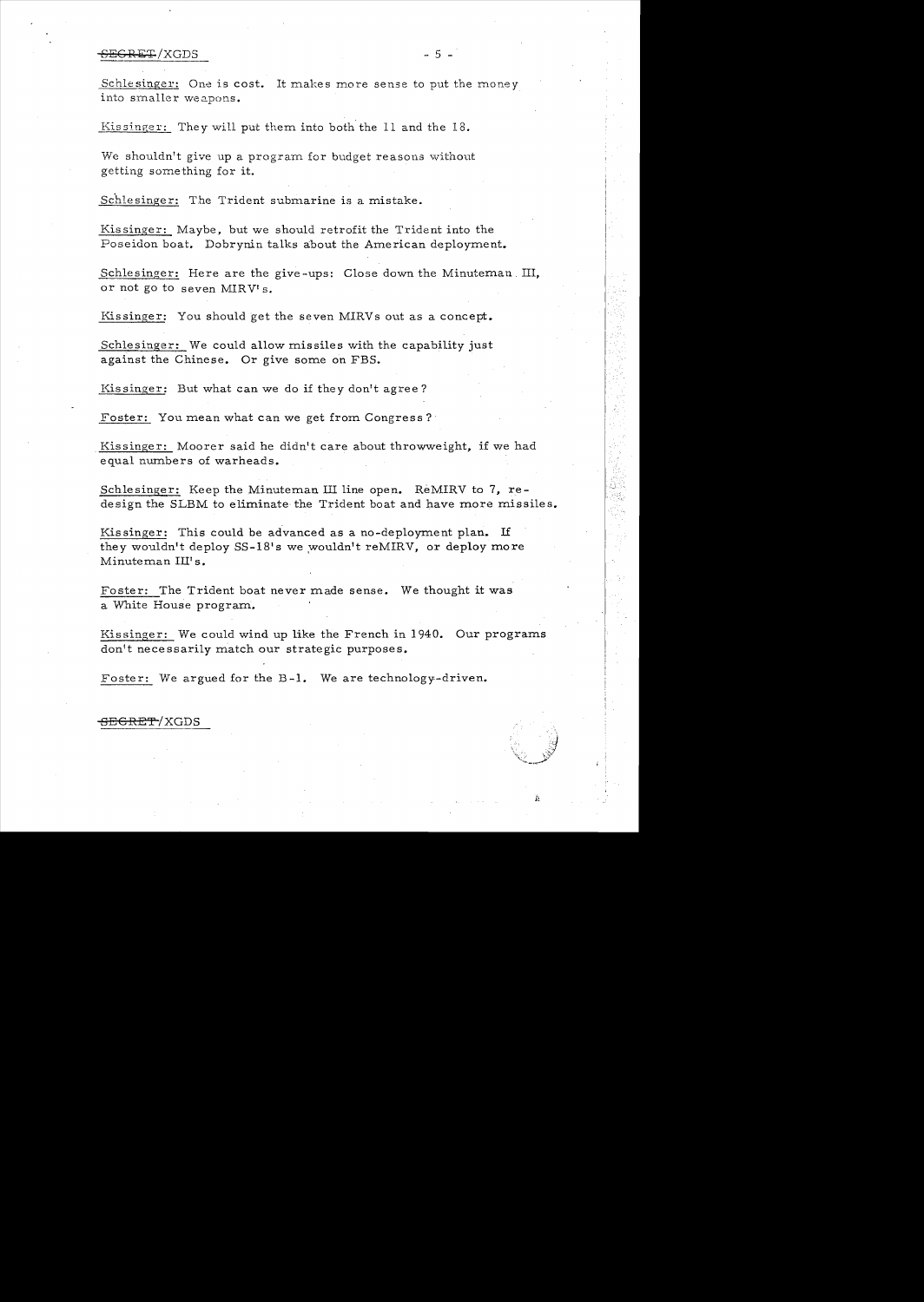### SECRET /XGDS - 5 -

Schlesinger: One is cost. It makes more sense to put the money into smaller weapons.

Kissinger: They will put them into both the 11 and the 18.

We shouldn't give up a program for budget reasons without getting something for it.

Schlesinger: The Trident submarine is a mistake.

Kissinger: Maybe, but we should retrofit the Trident into the Poseidon boat. Dobrynin talks about the American deployment.

Schlesinger: Here are the give-ups: Close down the Minuteman. III, or not go to seven MIRV's.

Kissinger: You should get the seven MIRVs out as a concept.

Schlesinger: We could allow missiles with the capability just against the Chinese. Or give some on FBS.

Kissinger: But what can we do if they don't agree?

Foster: You mean what can we get from Congress?

Kissinger: Moorer said he didn't care about throwweight. if we had equal numbers of warheads.

Schlesinger: Keep the Minuteman III line open. ReMIRV to 7, redesign the SLBM to eliminate the Trident boat and have more missiles.

Kissinger: This could be advanced as a no-deployment plan. If they wouldn't deploy SS-18's we wouldn't reMIRV, or deploy more Minuteman Ill's.

Foster: The Trident boat never made sense. We thought it was a White House program.

Kissinger: We could wind up like the French in 1940. Our programs don't necessarily match our strategic purposes.

Foster: We argued for the B-1. We are technology-driven.

<del>SECRET</del>/XGDS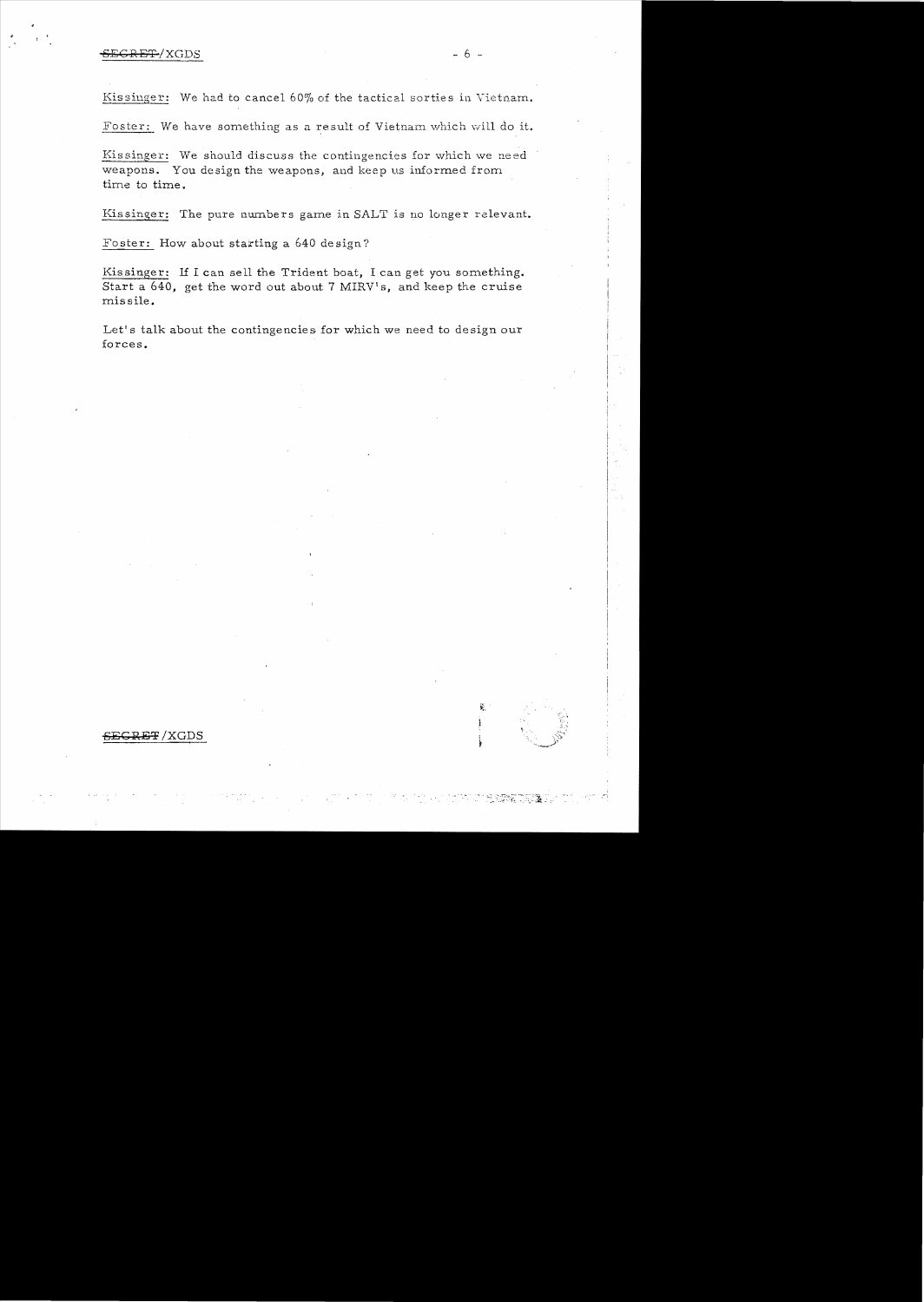Kissinger: We had to cancel 60% of the tactical sorties in Vietnam.

Foster: We have something as a result of Vietnam which will do it.

Kissinger: We should discuss the contingencies for which we need weapons. You design the weapons, and keep us informed from time to time.

Kissinger: The pure numbers game in SALT is no longer relevant.

Foster: How about starting a 640 design?

Kissinger: If I can sell the Trident boat, I can get you something. Start a 640, get the word out about 7 MIRV's, and keep the cruise missile.

Let's talk about the contingencies for which we need to design our forces.

 $\vec{k}_i$ 

**SBC RE!f** /XGDS